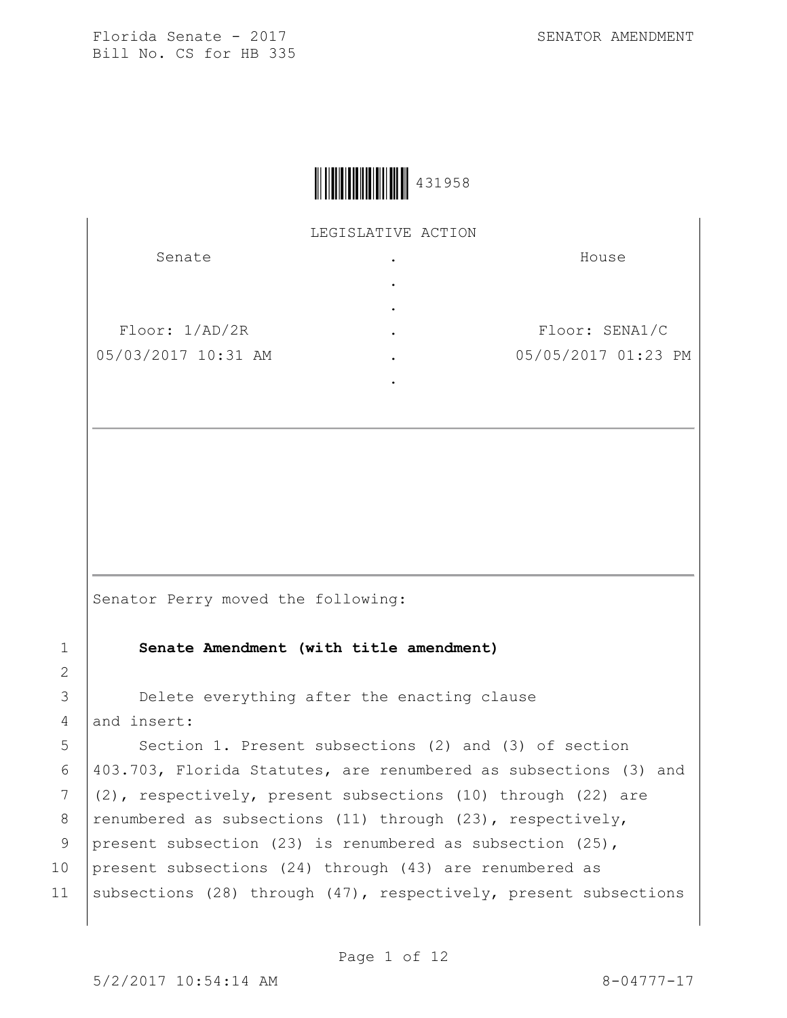

LEGISLATIVE ACTION

| Senate              | $\bullet$ | House               |
|---------------------|-----------|---------------------|
|                     | ٠         |                     |
|                     | $\bullet$ |                     |
| Floor: 1/AD/2R      | $\bullet$ | Floor: SENA1/C      |
| 05/03/2017 10:31 AM | $\bullet$ | 05/05/2017 01:23 PM |
|                     |           |                     |

Senator Perry moved the following:

1 **Senate Amendment (with title amendment)**

3 Delete everything after the enacting clause  $4$  and insert:

5 Section 1. Present subsections (2) and (3) of section 6  $|403.703$ , Florida Statutes, are renumbered as subsections (3) and 7  $(2)$ , respectively, present subsections (10) through (22) are 8 | renumbered as subsections (11) through (23), respectively, 9 present subsection (23) is renumbered as subsection (25), 10 present subsections (24) through (43) are renumbered as 11 | subsections (28) through (47), respectively, present subsections

2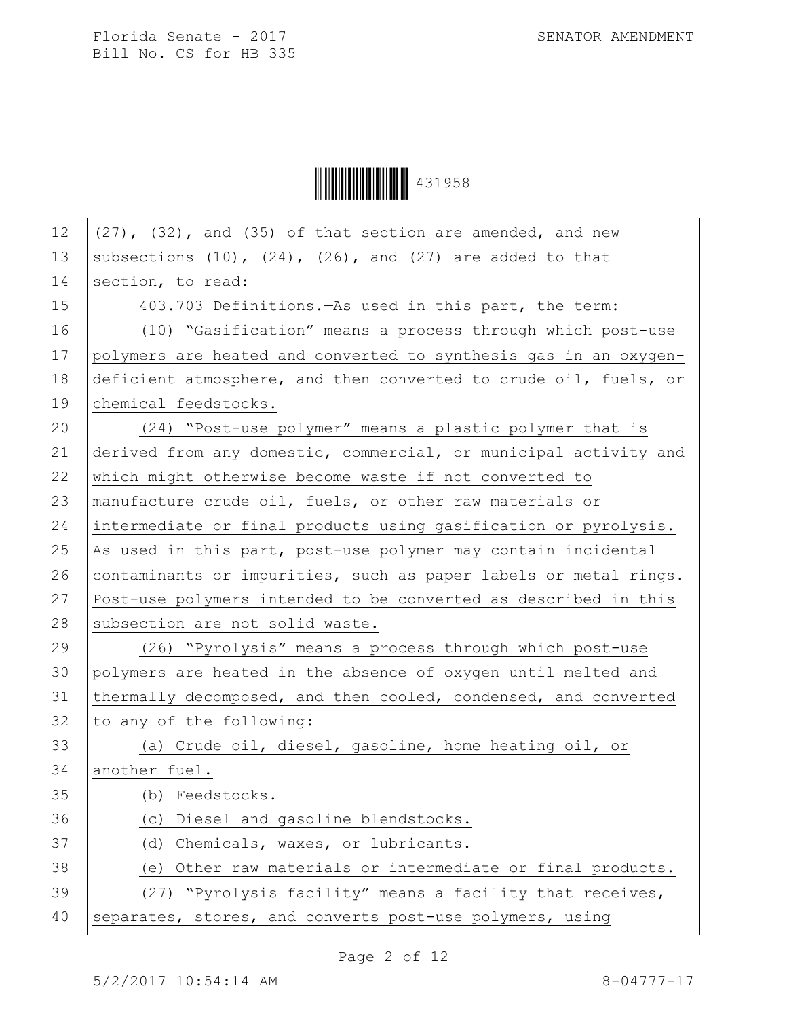**|| || || || || || || || || || || || ||** 431958

| 12 | $(27)$ , $(32)$ , and $(35)$ of that section are amended, and new   |  |  |
|----|---------------------------------------------------------------------|--|--|
| 13 | subsections $(10)$ , $(24)$ , $(26)$ , and $(27)$ are added to that |  |  |
| 14 | section, to read:                                                   |  |  |
| 15 | 403.703 Definitions. As used in this part, the term:                |  |  |
| 16 | (10) "Gasification" means a process through which post-use          |  |  |
| 17 | polymers are heated and converted to synthesis gas in an oxygen-    |  |  |
| 18 | deficient atmosphere, and then converted to crude oil, fuels, or    |  |  |
| 19 | chemical feedstocks.                                                |  |  |
| 20 | (24) "Post-use polymer" means a plastic polymer that is             |  |  |
| 21 | derived from any domestic, commercial, or municipal activity and    |  |  |
| 22 | which might otherwise become waste if not converted to              |  |  |
| 23 | manufacture crude oil, fuels, or other raw materials or             |  |  |
| 24 | intermediate or final products using gasification or pyrolysis.     |  |  |
| 25 | As used in this part, post-use polymer may contain incidental       |  |  |
| 26 | contaminants or impurities, such as paper labels or metal rings.    |  |  |
| 27 | Post-use polymers intended to be converted as described in this     |  |  |
| 28 | subsection are not solid waste.                                     |  |  |
| 29 | (26) "Pyrolysis" means a process through which post-use             |  |  |
| 30 | polymers are heated in the absence of oxygen until melted and       |  |  |
| 31 | thermally decomposed, and then cooled, condensed, and converted     |  |  |
| 32 | to any of the following:                                            |  |  |
| 33 | (a) Crude oil, diesel, gasoline, home heating oil, or               |  |  |
| 34 | another fuel.                                                       |  |  |
| 35 | (b) Feedstocks.                                                     |  |  |
| 36 | Diesel and gasoline blendstocks.<br>(C)                             |  |  |
| 37 | Chemicals, waxes, or lubricants.<br>(d)                             |  |  |
| 38 | Other raw materials or intermediate or final products.<br>(e)       |  |  |
| 39 | (27) "Pyrolysis facility" means a facility that receives,           |  |  |
| 40 | separates, stores, and converts post-use polymers, using            |  |  |
|    |                                                                     |  |  |

Page 2 of 12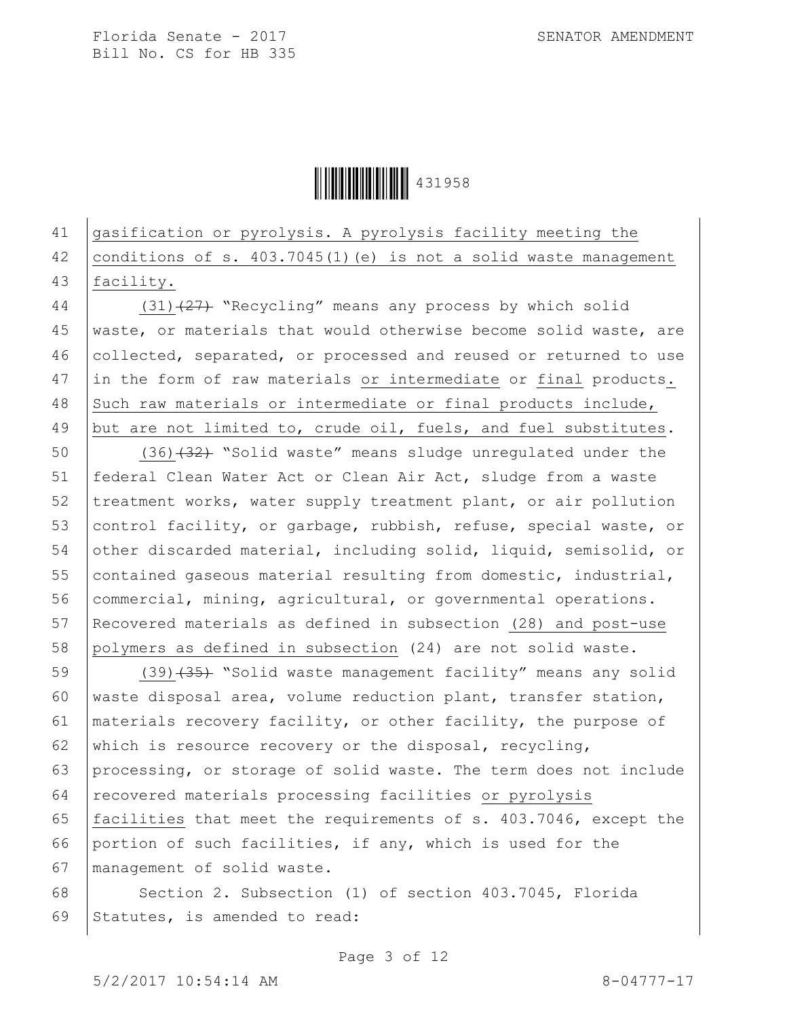Ì431958OÎ431958

## 41 gasification or pyrolysis. A pyrolysis facility meeting the 42 conditions of s. 403.7045(1)(e) is not a solid waste management 43 facility.

44 (31)<sup>(27)</sup> "Recycling" means any process by which solid 45 waste, or materials that would otherwise become solid waste, are 46 collected, separated, or processed and reused or returned to use 47 in the form of raw materials or intermediate or final products. 48 Such raw materials or intermediate or final products include, 49 but are not limited to, crude oil, fuels, and fuel substitutes.

 (36) $(32)$  "Solid waste" means sludge unregulated under the federal Clean Water Act or Clean Air Act, sludge from a waste 52 treatment works, water supply treatment plant, or air pollution 53 control facility, or garbage, rubbish, refuse, special waste, or other discarded material, including solid, liquid, semisolid, or contained gaseous material resulting from domestic, industrial, 56 commercial, mining, agricultural, or governmental operations. Recovered materials as defined in subsection (28) and post-use polymers as defined in subsection (24) are not solid waste.

59 (39)<del>(35)</del> "Solid waste management facility" means any solid waste disposal area, volume reduction plant, transfer station, materials recovery facility, or other facility, the purpose of 62 which is resource recovery or the disposal, recycling, processing, or storage of solid waste. The term does not include recovered materials processing facilities or pyrolysis facilities that meet the requirements of s. 403.7046, except the portion of such facilities, if any, which is used for the management of solid waste.

68 Section 2. Subsection (1) of section 403.7045, Florida 69 Statutes, is amended to read:

Page 3 of 12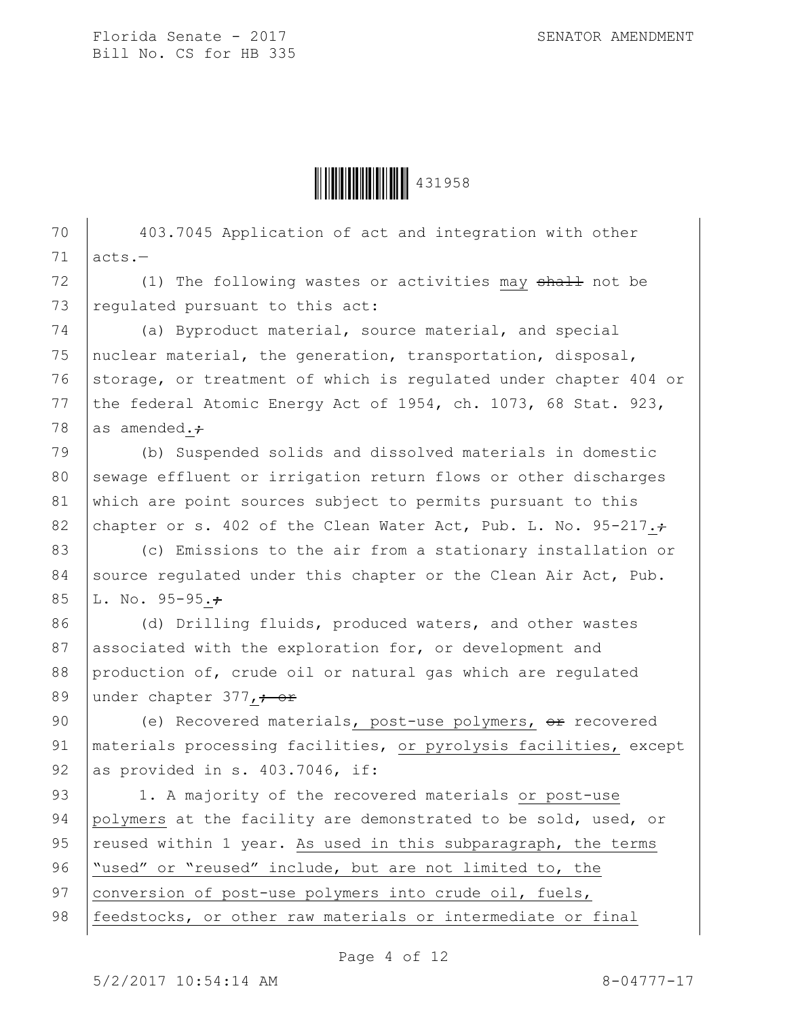

70 403.7045 Application of act and integration with other  $71$  acts.-72 (1) The following wastes or activities may shall not be 73  $|$  regulated pursuant to this act: 74 (a) Byproduct material, source material, and special 75 nuclear material, the generation, transportation, disposal, 76 storage, or treatment of which is regulated under chapter 404 or 77 the federal Atomic Energy Act of 1954, ch. 1073, 68 Stat. 923, 78 as amended. $\div$ 79 (b) Suspended solids and dissolved materials in domestic 80 sewage effluent or irrigation return flows or other discharges 81 which are point sources subject to permits pursuant to this 82 chapter or s. 402 of the Clean Water Act, Pub. L. No. 95-217. $\div$ 83 (c) Emissions to the air from a stationary installation or 84 source regulated under this chapter or the Clean Air Act, Pub. 85 | L. No. 95-95. $\div$ 86 (d) Drilling fluids, produced waters, and other wastes 87 associated with the exploration for, or development and 88 production of, crude oil or natural gas which are regulated 89 under chapter 377, + or 90 (e) Recovered materials, post-use polymers, or recovered 91 | materials processing facilities, or pyrolysis facilities, except 92 as provided in s.  $403.7046$ , if: 93 | 1. A majority of the recovered materials or post-use 94 polymers at the facility are demonstrated to be sold, used, or 95  $reused$  within 1 year. As used in this subparagraph, the terms

96 "used" or "reused" include, but are not limited to, the

97 conversion of post-use polymers into crude oil, fuels,

98 | feedstocks, or other raw materials or intermediate or final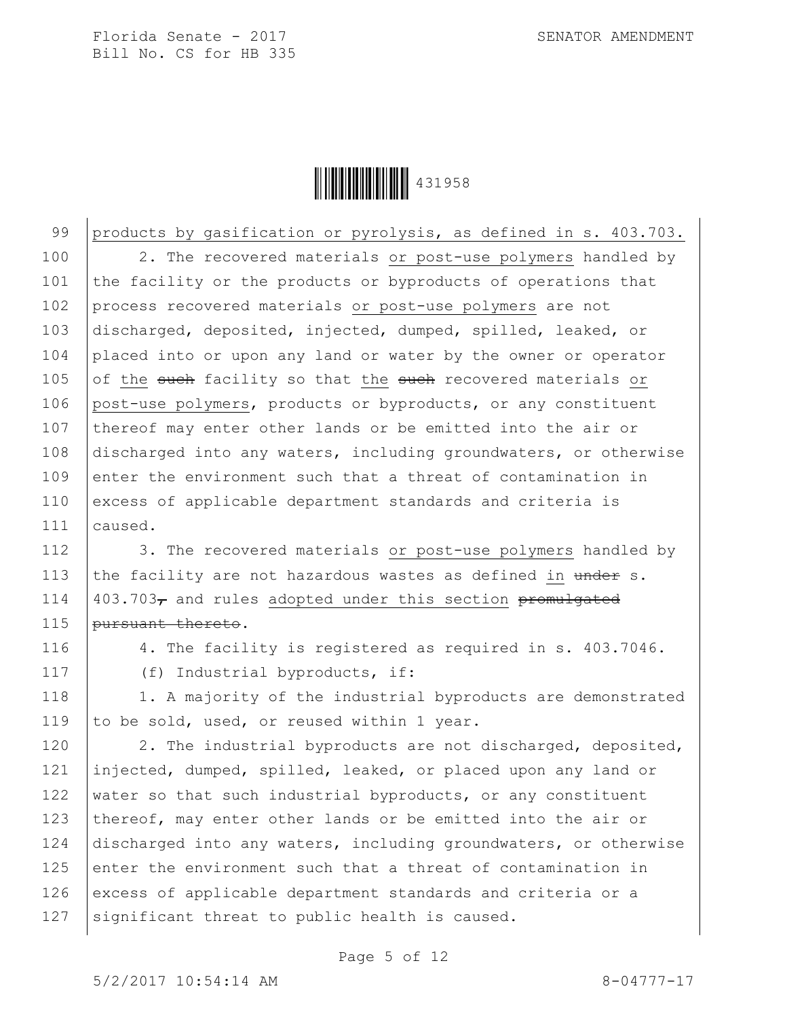

99 products by gasification or pyrolysis, as defined in s. 403.703. 100 | 2. The recovered materials or post-use polymers handled by 101 the facility or the products or byproducts of operations that 102 process recovered materials or post-use polymers are not 103 discharged, deposited, injected, dumped, spilled, leaked, or 104 placed into or upon any land or water by the owner or operator 105 of the such facility so that the such recovered materials or 106 post-use polymers, products or byproducts, or any constituent 107 thereof may enter other lands or be emitted into the air or 108 discharged into any waters, including groundwaters, or otherwise  $109$  enter the environment such that a threat of contamination in 110 excess of applicable department standards and criteria is 111 caused.

112 | 3. The recovered materials or post-use polymers handled by 113 the facility are not hazardous wastes as defined in under s. 114  $\vert$  403.703<sub>7</sub> and rules adopted under this section promulgated 115 | pursuant thereto.

116 4. The facility is registered as required in s. 403.7046.

117 (f) Industrial byproducts, if:

118 | 1. A majority of the industrial byproducts are demonstrated 119 to be sold, used, or reused within 1 year.

120 | 2. The industrial byproducts are not discharged, deposited, 121 injected, dumped, spilled, leaked, or placed upon any land or 122 water so that such industrial byproducts, or any constituent 123 thereof, may enter other lands or be emitted into the air or 124 discharged into any waters, including groundwaters, or otherwise  $125$  enter the environment such that a threat of contamination in 126 excess of applicable department standards and criteria or a  $127$  significant threat to public health is caused.

Page 5 of 12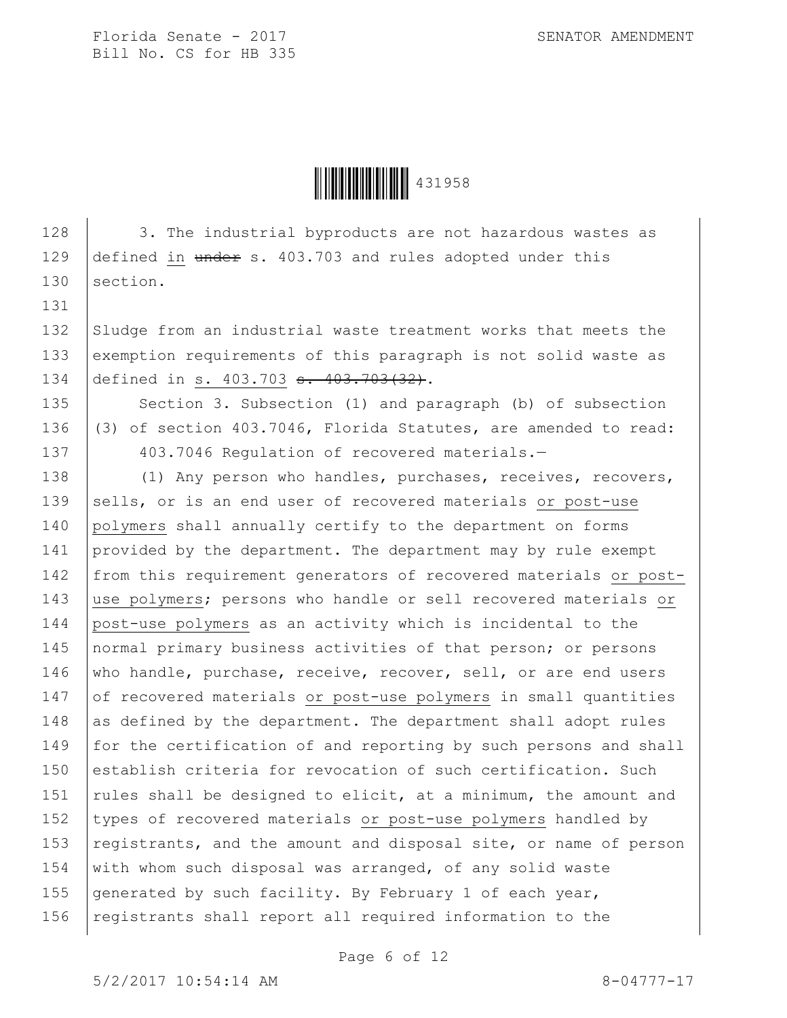131

Ì431958OÎ431958

128 3. The industrial byproducts are not hazardous wastes as 129  $\vert$  defined in under s. 403.703 and rules adopted under this 130 section.

132 Sludge from an industrial waste treatment works that meets the 133 exemption requirements of this paragraph is not solid waste as 134 defined in s. 403.703 <del>s. 403.703(32)</del>.

135 Section 3. Subsection (1) and paragraph (b) of subsection 136 (3) of section 403.7046, Florida Statutes, are amended to read: 137 403.7046 Requiation of recovered materials.-

138 (1) Any person who handles, purchases, receives, recovers, 139 sells, or is an end user of recovered materials or post-use 140 polymers shall annually certify to the department on forms 141 provided by the department. The department may by rule exempt 142 from this requirement generators of recovered materials or post-143 use polymers; persons who handle or sell recovered materials or 144 post-use polymers as an activity which is incidental to the 145 | normal primary business activities of that person; or persons 146 who handle, purchase, receive, recover, sell, or are end users 147 of recovered materials or post-use polymers in small quantities 148 as defined by the department. The department shall adopt rules 149 for the certification of and reporting by such persons and shall 150 establish criteria for revocation of such certification. Such 151  $\vert$  rules shall be designed to elicit, at a minimum, the amount and 152 types of recovered materials or post-use polymers handled by 153  $registrants,$  and the amount and disposal site, or name of person 154 with whom such disposal was arranged, of any solid waste 155 generated by such facility. By February 1 of each year, 156  $|$  registrants shall report all required information to the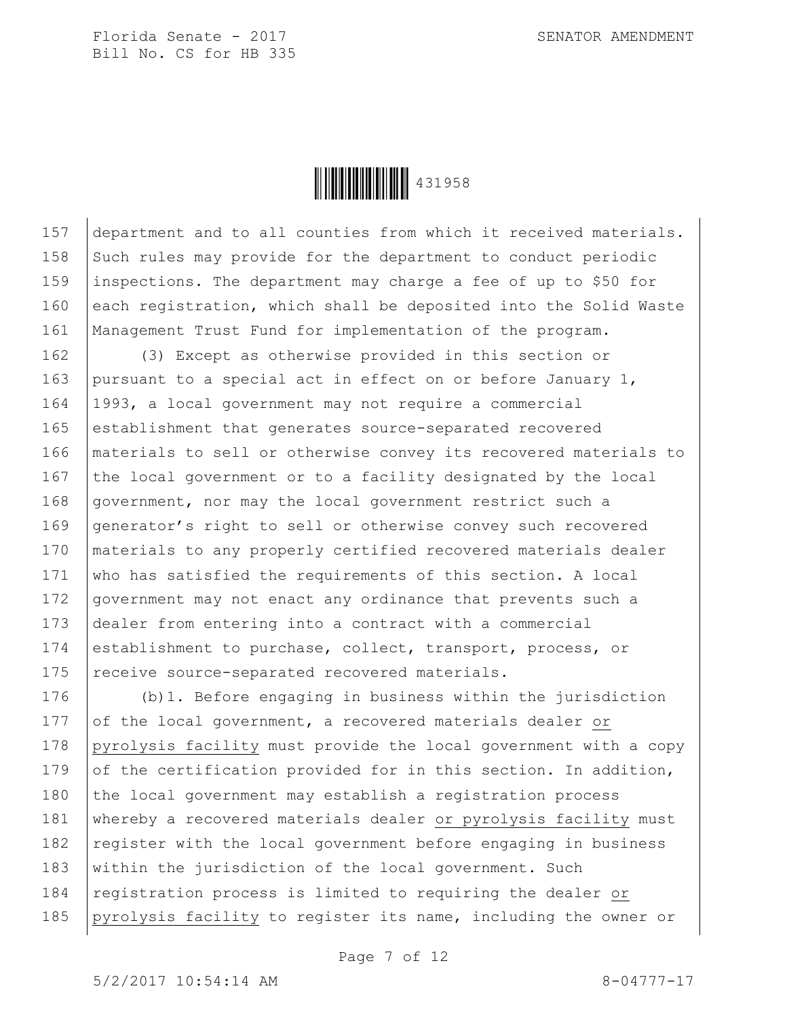Ì431958OÎ431958

157 department and to all counties from which it received materials. 158 Such rules may provide for the department to conduct periodic 159 inspections. The department may charge a fee of up to \$50 for 160 each registration, which shall be deposited into the Solid Waste 161 | Management Trust Fund for implementation of the program.

162 (3) Except as otherwise provided in this section or 163 pursuant to a special act in effect on or before January 1, 164 1993, a local government may not require a commercial 165 establishment that generates source-separated recovered 166 materials to sell or otherwise convey its recovered materials to 167 the local government or to a facility designated by the local 168 government, nor may the local government restrict such a 169 generator's right to sell or otherwise convey such recovered 170 | materials to any properly certified recovered materials dealer 171 who has satisfied the requirements of this section. A local 172 government may not enact any ordinance that prevents such a 173 dealer from entering into a contract with a commercial 174 establishment to purchase, collect, transport, process, or 175 receive source-separated recovered materials.

176 (b)1. Before engaging in business within the jurisdiction 177 of the local government, a recovered materials dealer or 178 pyrolysis facility must provide the local government with a copy 179 of the certification provided for in this section. In addition, 180  $\vert$  the local government may establish a registration process 181 | whereby a recovered materials dealer or pyrolysis facility must 182  $\vert$  register with the local government before engaging in business 183 within the jurisdiction of the local government. Such 184 registration process is limited to requiring the dealer or 185 pyrolysis facility to register its name, including the owner or

Page 7 of 12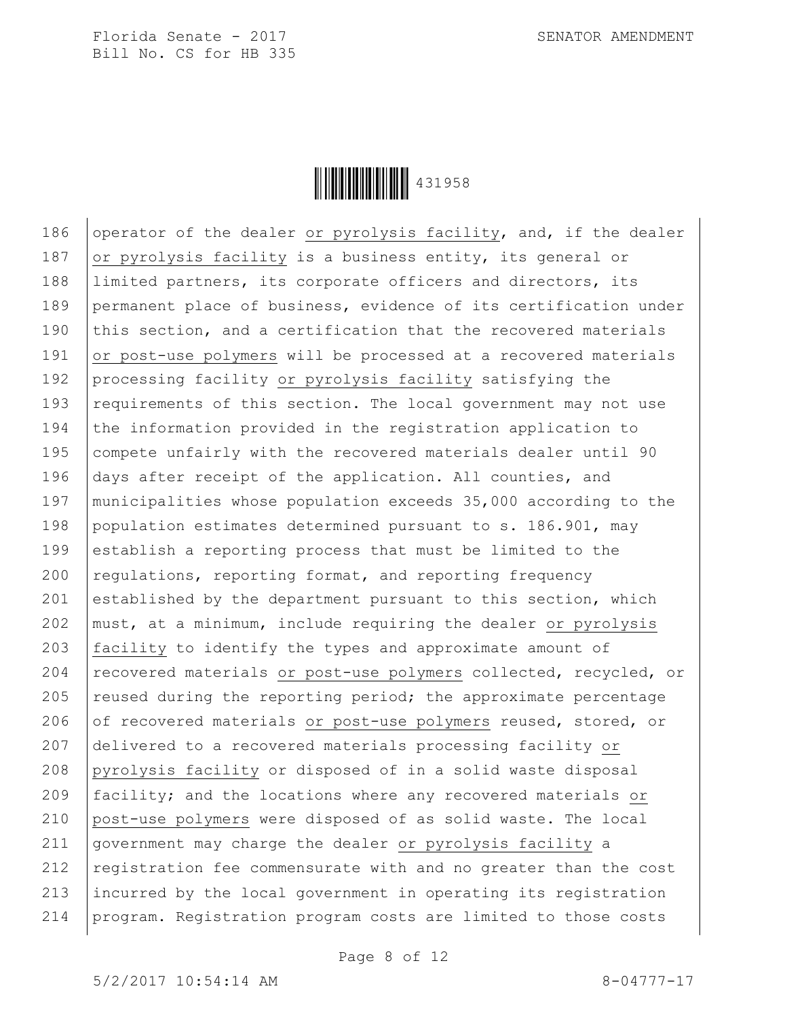Ì431958OÎ431958

186 operator of the dealer or pyrolysis facility, and, if the dealer 187 or pyrolysis facility is a business entity, its general or 188 limited partners, its corporate officers and directors, its 189 permanent place of business, evidence of its certification under 190 this section, and a certification that the recovered materials 191 or post-use polymers will be processed at a recovered materials 192 processing facility or pyrolysis facility satisfying the 193 requirements of this section. The local government may not use 194 the information provided in the registration application to 195 compete unfairly with the recovered materials dealer until 90 196 days after receipt of the application. All counties, and 197 municipalities whose population exceeds 35,000 according to the 198 population estimates determined pursuant to s. 186.901, may 199 establish a reporting process that must be limited to the  $200$  regulations, reporting format, and reporting frequency 201 established by the department pursuant to this section, which 202 must, at a minimum, include requiring the dealer or pyrolysis 203 facility to identify the types and approximate amount of 204 recovered materials or post-use polymers collected, recycled, or 205  $\vert$  reused during the reporting period; the approximate percentage 206 of recovered materials or post-use polymers reused, stored, or 207 delivered to a recovered materials processing facility or 208 pyrolysis facility or disposed of in a solid waste disposal 209 facility; and the locations where any recovered materials or 210 post-use polymers were disposed of as solid waste. The local 211 government may charge the dealer or pyrolysis facility a 212  $|$  registration fee commensurate with and no greater than the cost 213 incurred by the local government in operating its registration 214 program. Registration program costs are limited to those costs

Page 8 of 12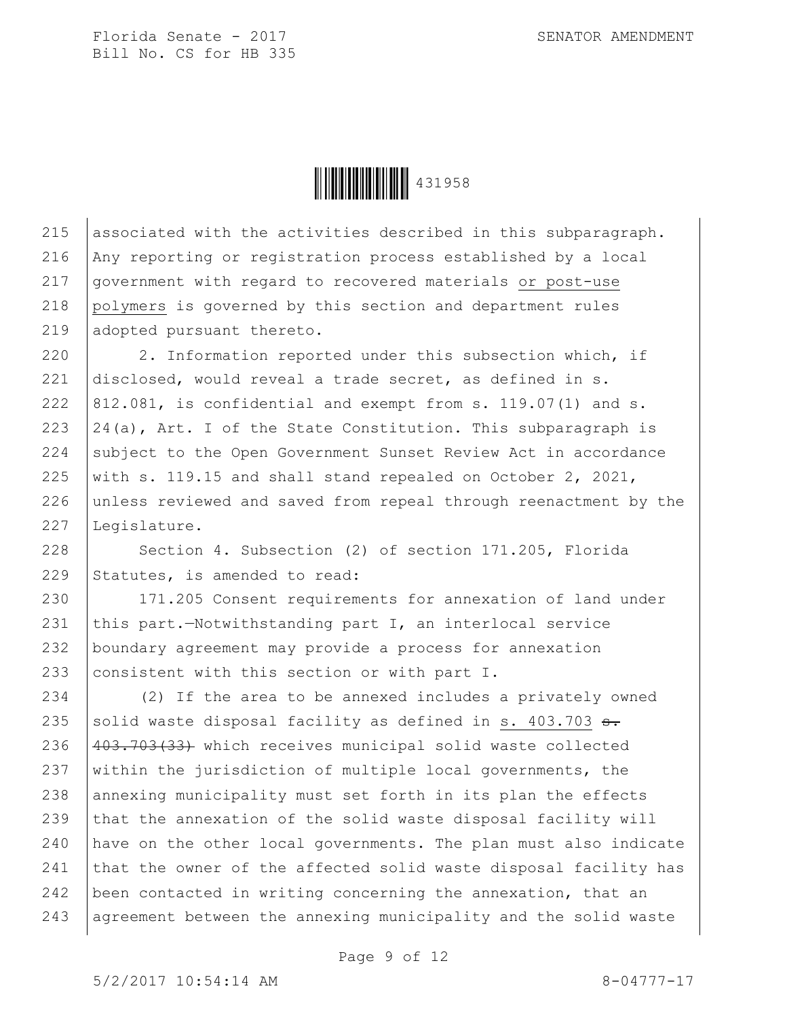Ì431958OÎ431958

215 associated with the activities described in this subparagraph. 216 Any reporting or registration process established by a local 217 government with regard to recovered materials or post-use 218 polymers is governed by this section and department rules 219 adopted pursuant thereto.

220 2. Information reported under this subsection which, if 221 disclosed, would reveal a trade secret, as defined in s. 222  $|812.081$ , is confidential and exempt from s. 119.07(1) and s. 223  $|24(a)$ , Art. I of the State Constitution. This subparagraph is 224 subject to the Open Government Sunset Review Act in accordance 225 with s. 119.15 and shall stand repealed on October 2, 2021, 226 unless reviewed and saved from repeal through reenactment by the 227 Legislature.

228 Section 4. Subsection (2) of section 171.205, Florida 229 Statutes, is amended to read:

 171.205 Consent requirements for annexation of land under  $|$ this part.-Notwithstanding part I, an interlocal service boundary agreement may provide a process for annexation 233 consistent with this section or with part I.

234 (2) If the area to be annexed includes a privately owned 235 solid waste disposal facility as defined in s. 403.703  $s$ . 236 403.703(33) which receives municipal solid waste collected 237  $\vert$  within the jurisdiction of multiple local governments, the 238 annexing municipality must set forth in its plan the effects 239 that the annexation of the solid waste disposal facility will 240 have on the other local governments. The plan must also indicate 241 that the owner of the affected solid waste disposal facility has 242 been contacted in writing concerning the annexation, that an 243 agreement between the annexing municipality and the solid waste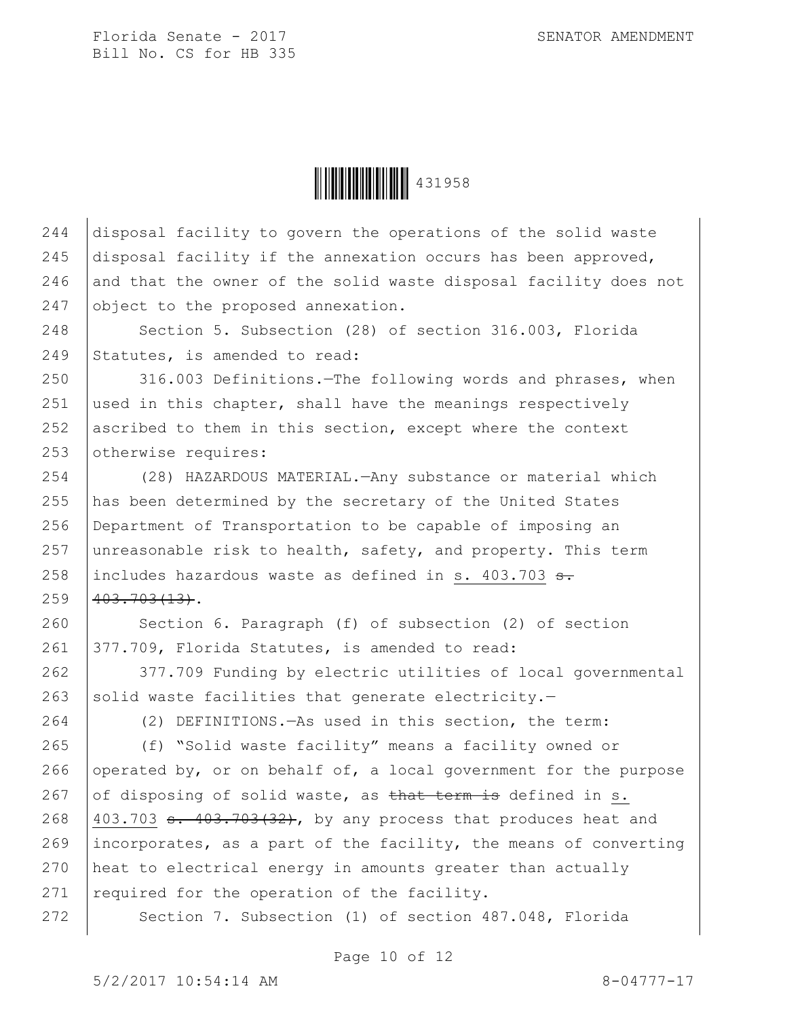**ÖEFEBRUARI 1958** 

244 disposal facility to govern the operations of the solid waste 245 disposal facility if the annexation occurs has been approved,  $246$  and that the owner of the solid waste disposal facility does not 247 object to the proposed annexation.

248 | Section 5. Subsection (28) of section 316.003, Florida 249 Statutes, is amended to read:

250 316.003 Definitions. - The following words and phrases, when 251 used in this chapter, shall have the meanings respectively 252 ascribed to them in this section, except where the context 253 otherwise requires:

254 (28) HAZARDOUS MATERIAL.—Any substance or material which 255 has been determined by the secretary of the United States 256 Department of Transportation to be capable of imposing an 257 unreasonable risk to health, safety, and property. This term 258 includes hazardous waste as defined in s. 403.703  $\frac{1}{3}$ .  $259$   $403.703(13)$ .

260 Section 6. Paragraph (f) of subsection (2) of section 261 377.709, Florida Statutes, is amended to read:

262 377.709 Funding by electric utilities of local governmental 263 solid waste facilities that generate electricity.-

264 (2) DEFINITIONS.—As used in this section, the term:

265 (f) "Solid waste facility" means a facility owned or 266 operated by, or on behalf of, a local government for the purpose 267 of disposing of solid waste, as that term is defined in s. 268  $|403.703$  s.  $403.703(32)$ , by any process that produces heat and 269 incorporates, as a part of the facility, the means of converting 270 heat to electrical energy in amounts greater than actually 271  $|$  required for the operation of the facility.

272 Section 7. Subsection (1) of section 487.048, Florida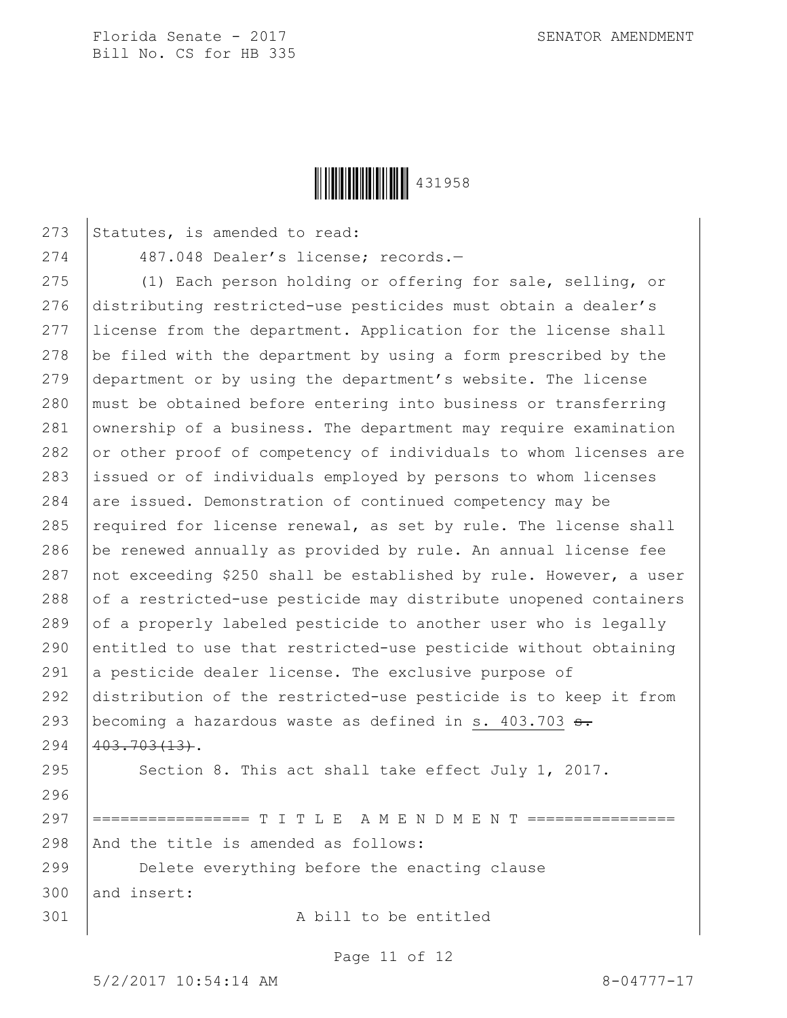

273 Statutes, is amended to read:

274 487.048 Dealer's license; records.—

275 (1) Each person holding or offering for sale, selling, or distributing restricted-use pesticides must obtain a dealer's license from the department. Application for the license shall  $\vert$  be filed with the department by using a form prescribed by the department or by using the department's website. The license must be obtained before entering into business or transferring 281 ownership of a business. The department may require examination  $\sigma$  or other proof of competency of individuals to whom licenses are issued or of individuals employed by persons to whom licenses  $\vert$  are issued. Demonstration of continued competency may be  $\vert$  required for license renewal, as set by rule. The license shall be renewed annually as provided by rule. An annual license fee  $\vert$  not exceeding \$250 shall be established by rule. However, a user of a restricted-use pesticide may distribute unopened containers 289 of a properly labeled pesticide to another user who is legally 290 entitled to use that restricted-use pesticide without obtaining  $\vert$  a pesticide dealer license. The exclusive purpose of distribution of the restricted-use pesticide is to keep it from 293 | becoming a hazardous waste as defined in s.  $403.703$   $\text{a}$ .  $403.703(13)$ . 295 Section 8. This act shall take effect July 1, 2017. 296 297 |================ T I T L E A M E N D M E N T =============  $|$  And the title is amended as follows: Delete everything before the enacting clause and insert:

301 A bill to be entitled

Page 11 of 12